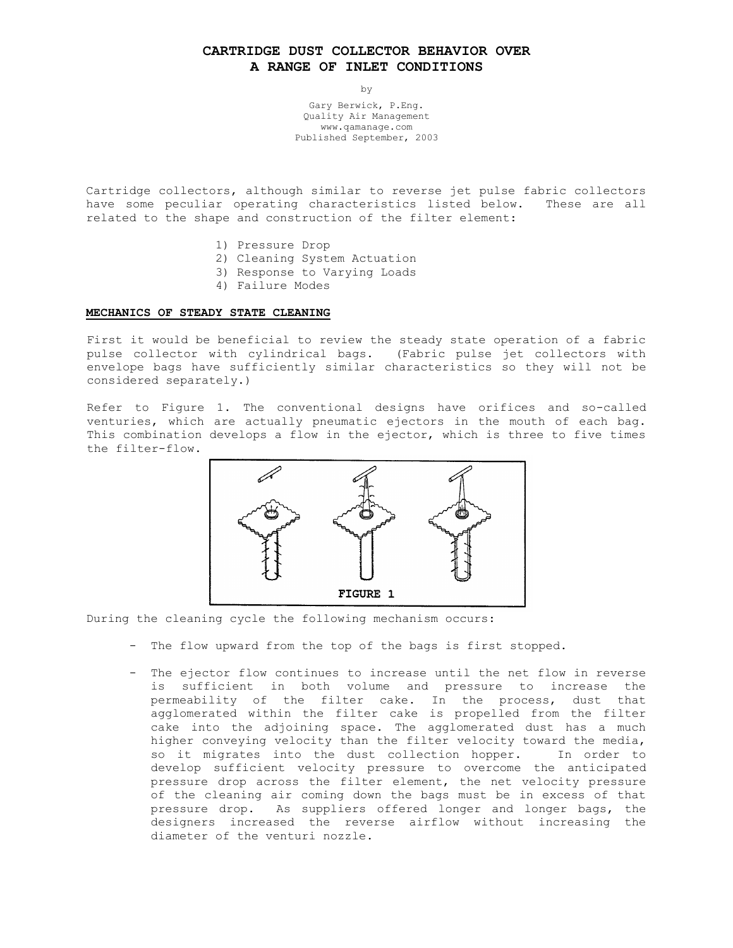# **CARTRIDGE DUST COLLECTOR BEHAVIOR OVER A RANGE OF INLET CONDITIONS**

by

Gary Berwick, P.Eng. Quality Air Management www.qamanage.com Published September, 2003

Cartridge collectors, although similar to reverse jet pulse fabric collectors have some peculiar operating characteristics listed below. These are all related to the shape and construction of the filter element:

- 1) Pressure Drop
- 2) Cleaning System Actuation
- 3) Response to Varying Loads
- 4) Failure Modes

## **MECHANICS OF STEADY STATE CLEANING**

First it would be beneficial to review the steady state operation of a fabric pulse collector with cylindrical bags. (Fabric pulse jet collectors with envelope bags have sufficiently similar characteristics so they will not be considered separately.)

Refer to Figure 1. The conventional designs have orifices and so-called venturies, which are actually pneumatic ejectors in the mouth of each bag. This combination develops a flow in the ejector, which is three to five times the filter-flow.



During the cleaning cycle the following mechanism occurs:

- The flow upward from the top of the bags is first stopped.
- The ejector flow continues to increase until the net flow in reverse is sufficient in both volume and pressure to increase the permeability of the filter cake. In the process, dust that agglomerated within the filter cake is propelled from the filter cake into the adjoining space. The agglomerated dust has a much higher conveying velocity than the filter velocity toward the media, so it migrates into the dust collection hopper. In order to develop sufficient velocity pressure to overcome the anticipated pressure drop across the filter element, the net velocity pressure of the cleaning air coming down the bags must be in excess of that pressure drop. As suppliers offered longer and longer bags, the designers increased the reverse airflow without increasing the diameter of the venturi nozzle.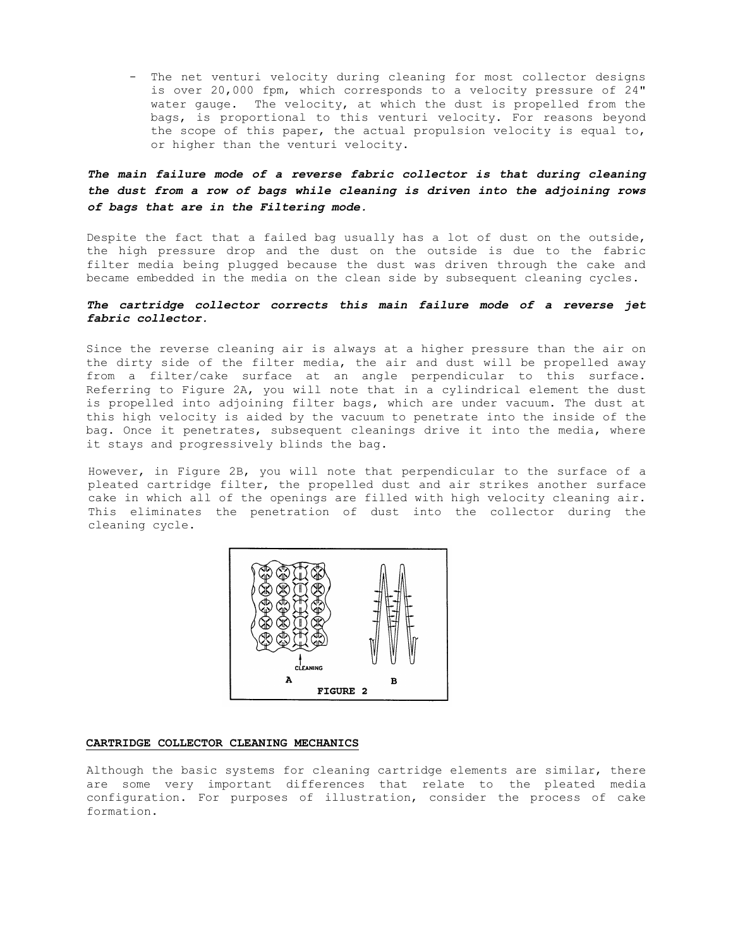- The net venturi velocity during cleaning for most collector designs is over 20,000 fpm, which corresponds to a velocity pressure of 24" water gauge. The velocity, at which the dust is propelled from the bags, is proportional to this venturi velocity. For reasons beyond the scope of this paper, the actual propulsion velocity is equal to, or higher than the venturi velocity.

# *The main failure mode of a reverse fabric collector is that during cleaning the dust from a row of bags while cleaning is driven into the adjoining rows of bags that are in the Filtering mode.*

Despite the fact that a failed bag usually has a lot of dust on the outside, the high pressure drop and the dust on the outside is due to the fabric filter media being plugged because the dust was driven through the cake and became embedded in the media on the clean side by subsequent cleaning cycles.

## *The cartridge collector corrects this main failure mode of a reverse jet fabric collector.*

Since the reverse cleaning air is always at a higher pressure than the air on the dirty side of the filter media, the air and dust will be propelled away from a filter/cake surface at an angle perpendicular to this surface. Referring to Figure 2A, you will note that in a cylindrical element the dust is propelled into adjoining filter bags, which are under vacuum. The dust at this high velocity is aided by the vacuum to penetrate into the inside of the bag. Once it penetrates, subsequent cleanings drive it into the media, where it stays and progressively blinds the bag.

However, in Figure 2B, you will note that perpendicular to the surface of a pleated cartridge filter, the propelled dust and air strikes another surface cake in which all of the openings are filled with high velocity cleaning air. This eliminates the penetration of dust into the collector during the cleaning cycle.



### **CARTRIDGE COLLECTOR CLEANING MECHANICS**

Although the basic systems for cleaning cartridge elements are similar, there are some very important differences that relate to the pleated media configuration. For purposes of illustration, consider the process of cake formation.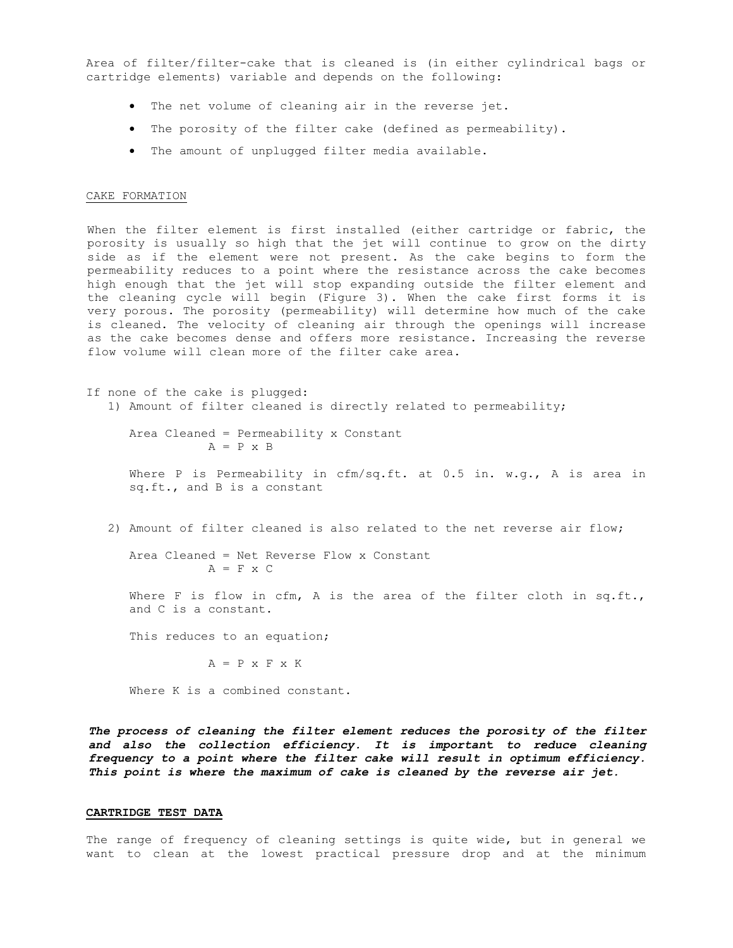Area of filter/filter-cake that is cleaned is (in either cylindrical bags or cartridge elements) variable and depends on the following:

- The net volume of cleaning air in the reverse jet.
- The porosity of the filter cake (defined as permeability).
- The amount of unplugged filter media available.

## CAKE FORMATION

When the filter element is first installed (either cartridge or fabric, the porosity is usually so high that the jet will continue to grow on the dirty side as if the element were not present. As the cake begins to form the permeability reduces to a point where the resistance across the cake becomes high enough that the jet will stop expanding outside the filter element and the cleaning cycle will begin (Figure 3). When the cake first forms it is very porous. The porosity (permeability) will determine how much of the cake is cleaned. The velocity of cleaning air through the openings will increase as the cake becomes dense and offers more resistance. Increasing the reverse flow volume will clean more of the filter cake area.

```
If none of the cake is plugged:
1) Amount of filter cleaned is directly related to permeability;
```
Area Cleaned = Permeability x Constant  $A = P \times B$ 

Where P is Permeability in cfm/sq.ft. at 0.5 in. w.g., A is area in sq.ft., and B is a constant

2) Amount of filter cleaned is also related to the net reverse air flow;

Area Cleaned = Net Reverse Flow x Constant  $A = F \times C$ 

Where F is flow in cfm, A is the area of the filter cloth in sq.ft., and C is a constant.

This reduces to an equation;

 $A = P \times F \times K$ 

Where K is a combined constant.

*The process of cleaning the filter element reduces the poros***i***ty of the filter and also the collection efficiency. It is importan***t** *to reduce cleaning frequency to a point where the filter cake will result in optimum efficiency. This point is where the maximum of cake is cleaned by the reverse air jet.*

### **CARTRIDGE TEST DATA**

The range of frequency of cleaning settings is quite wide, but in general we want to clean at the lowest practical pressure drop and at the minimum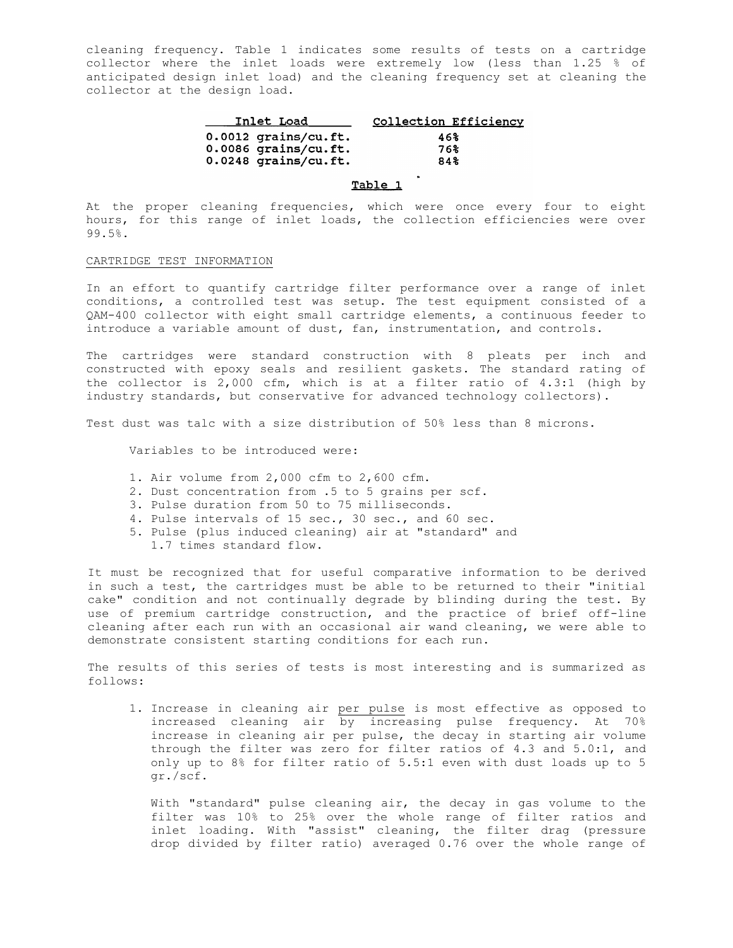cleaning frequency. Table 1 indicates some results of tests on a cartridge collector where the inlet loads were extremely low (less than 1.25 % of anticipated design inlet load) and the cleaning frequency set at cleaning the collector at the design load.

| Inlet Load             | Collection Efficiency |
|------------------------|-----------------------|
| $0.0012$ grains/cu.ft. | 46%                   |
| 0.0086 grains/cu.ft.   | 76%                   |
| 0.0248 grains/cu.ft.   | 84%                   |

# Table 1

At the proper cleaning frequencies, which were once every four to eight hours, for this range of inlet loads, the collection efficiencies were over 99.5%.

### CARTRIDGE TEST INFORMATION

In an effort to quantify cartridge filter performance over a range of inlet conditions, a controlled test was setup. The test equipment consisted of a QAM-400 collector with eight small cartridge elements, a continuous feeder to introduce a variable amount of dust, fan, instrumentation, and controls.

The cartridges were standard construction with 8 pleats per inch and constructed with epoxy seals and resilient gaskets. The standard rating of the collector is 2,000 cfm, which is at a filter ratio of 4.3:1 (high by industry standards, but conservative for advanced technology collectors).

Test dust was talc with a size distribution of 50% less than 8 microns.

Variables to be introduced were:

- 1. Air volume from 2,000 cfm to 2,600 cfm.
- 2. Dust concentration from .5 to 5 grains per scf.
- 3. Pulse duration from 50 to 75 milliseconds.
- 4. Pulse intervals of 15 sec., 30 sec., and 60 sec.
- 5. Pulse (plus induced cleaning) air at "standard" and 1.7 times standard flow.

It must be recognized that for useful comparative information to be derived in such a test, the cartridges must be able to be returned to their "initial cake" condition and not continually degrade by blinding during the test. By use of premium cartridge construction, and the practice of brief off-line cleaning after each run with an occasional air wand cleaning, we were able to demonstrate consistent starting conditions for each run.

The results of this series of tests is most interesting and is summarized as follows:

1. Increase in cleaning air per pulse is most effective as opposed to increased cleaning air by increasing pulse frequency. At 70% increase in cleaning air per pulse, the decay in starting air volume through the filter was zero for filter ratios of 4.3 and 5.0:1, and only up to 8% for filter ratio of 5.5:1 even with dust loads up to 5 gr./scf.

 With "standard" pulse cleaning air, the decay in gas volume to the filter was 10% to 25% over the whole range of filter ratios and inlet loading. With "assist" cleaning, the filter drag (pressure drop divided by filter ratio) averaged 0.76 over the whole range of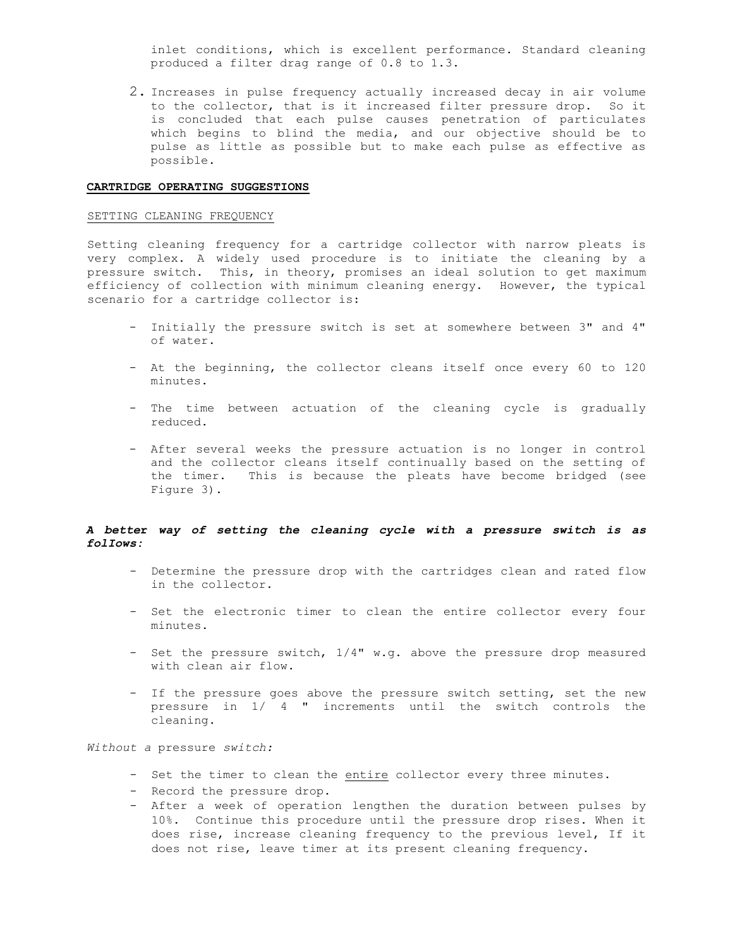inlet conditions, which is excellent performance. Standard cleaning produced a filter drag range of 0.8 to 1.3.

2. Increases in pulse frequency actually increased decay in air volume to the collector, that is it increased filter pressure drop. So it is concluded that each pulse causes penetration of particulates which begins to blind the media, and our objective should be to pulse as little as possible but to make each pulse as effective as possible.

### **CARTRIDGE OPERATING SUGGESTIONS**

## SETTING CLEANING FREQUENCY

Setting cleaning frequency for a cartridge collector with narrow pleats is very complex. A widely used procedure is to initiate the cleaning by a pressure switch. This, in theory, promises an ideal solution to get maximum efficiency of collection with minimum cleaning energy. However, the typical scenario for a cartridge collector is:

- Initially the pressure switch is set at somewhere between 3" and 4" of water.
- At the beginning, the collector cleans itself once every 60 to 120 minutes.
- The time between actuation of the cleaning cycle is gradually reduced.
- After several weeks the pressure actuation is no longer in control and the collector cleans itself continually based on the setting of the timer. This is because the pleats have become bridged (see Figure 3).

## *A bette***r** *way of setting the cleaning cycle with a pressure switch is as folIows:*

- Determine the pressure drop with the cartridges clean and rated flow in the collector.
- Set the electronic timer to clean the entire collector every four minutes.
- Set the pressure switch,  $1/4$ " w.g. above the pressure drop measured with clean air flow.
- If the pressure goes above the pressure switch setting, set the new pressure in 1/ 4 " increments until the switch controls the cleaning.

*Without a* pressure *switch:*

- Set the timer to clean the entire collector every three minutes.
- Record the pressure drop.
- After a week of operation lengthen the duration between pulses by 10%. Continue this procedure until the pressure drop rises. When it does rise, increase cleaning frequency to the previous level, If it does not rise, leave timer at its present cleaning frequency.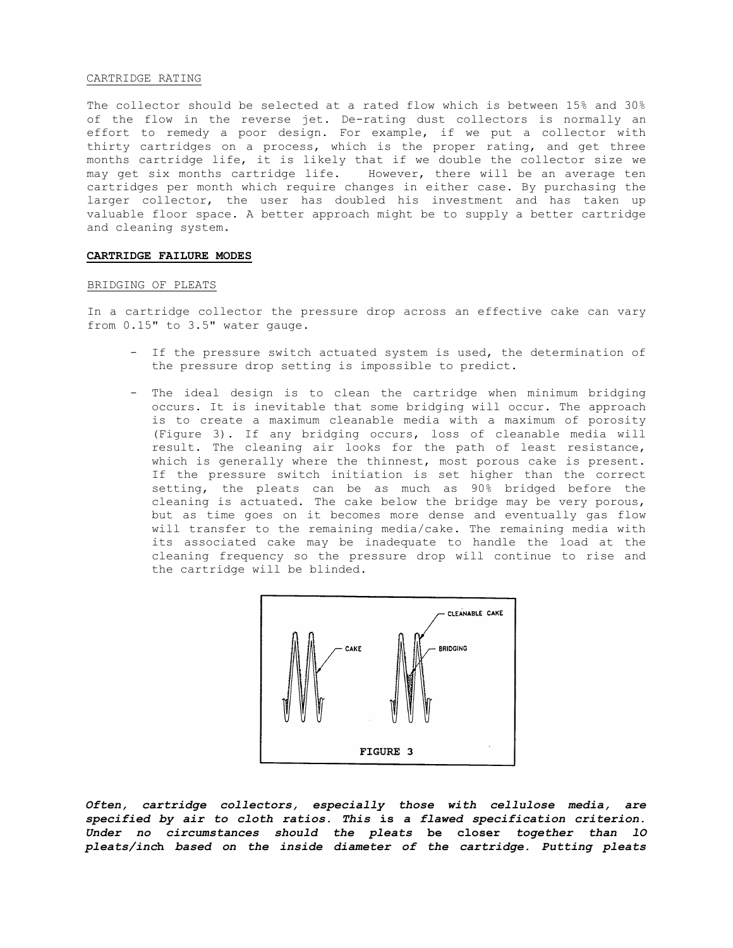#### CARTRIDGE RATING

The collector should be selected at a rated flow which is between 15% and 30% of the flow in the reverse jet. De-rating dust collectors is normally an effort to remedy a poor design. For example, if we put a collector with thirty cartridges on a process, which is the proper rating, and get three months cartridge life, it is likely that if we double the collector size we may get six months cartridge life. However, there will be an average ten cartridges per month which require changes in either case. By purchasing the larger collector, the user has doubled his investment and has taken up valuable floor space. A better approach might be to supply a better cartridge and cleaning system.

## **CARTRIDGE FAILURE MODES**

### BRIDGING OF PLEATS

In a cartridge collector the pressure drop across an effective cake can vary from 0.15" to 3.5" water gauge.

- If the pressure switch actuated system is used, the determination of the pressure drop setting is impossible to predict.
- The ideal design is to clean the cartridge when minimum bridging occurs. It is inevitable that some bridging will occur. The approach is to create a maximum cleanable media with a maximum of porosity (Figure 3). If any bridging occurs, loss of cleanable media will result. The cleaning air looks for the path of least resistance, which is generally where the thinnest, most porous cake is present. If the pressure switch initiation is set higher than the correct setting, the pleats can be as much as 90% bridged before the cleaning is actuated. The cake below the bridge may be very porous, but as time goes on it becomes more dense and eventually gas flow will transfer to the remaining media/cake. The remaining media with its associated cake may be inadequate to handle the load at the cleaning frequency so the pressure drop will continue to rise and the cartridge will be blinded.



*Often, cartridge collectors, especially those with cellulose media, are specified by air to cloth ratios. This* **is** *a flawed specification criterion. Under no circumstances should the pleats* **be closer** *together than lO pleats/inc***h** *based on the inside diameter of the cartridge. Putting pleats*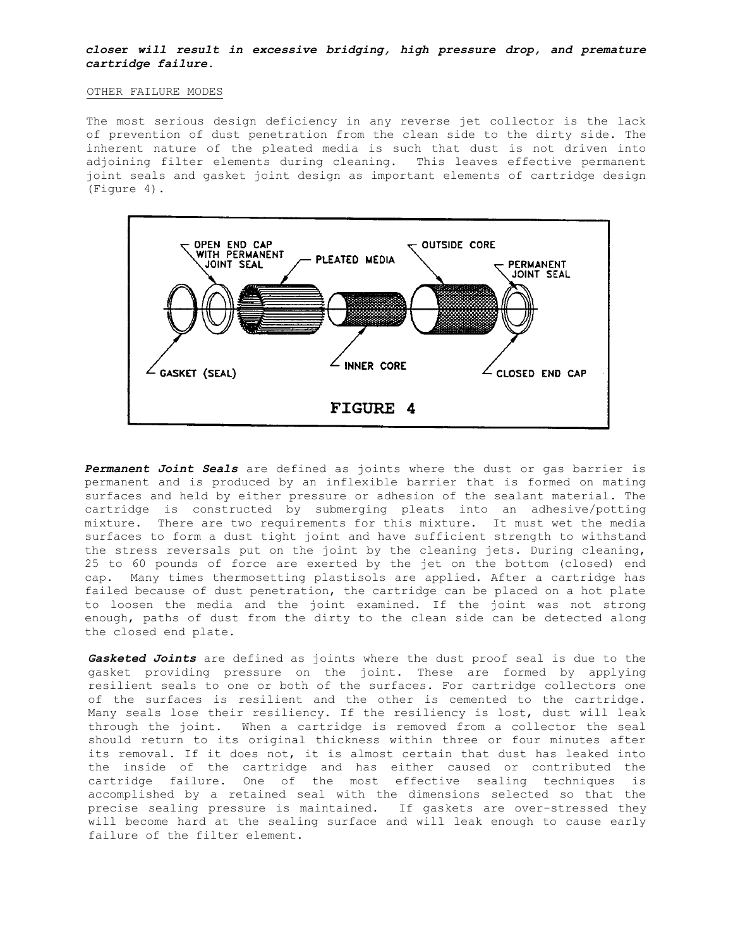*close***r** *will result in excessive bridging, high pressure drop, and premature cartridge failure.*

#### OTHER FAILURE MODES

The most serious design deficiency in any reverse jet collector is the lack of prevention of dust penetration from the clean side to the dirty side. The inherent nature of the pleated media is such that dust is not driven into adjoining filter elements during cleaning. This leaves effective permanent joint seals and gasket joint design as important elements of cartridge design (Figure 4).



*Permanent Joint Seals* are defined as joints where the dust or gas barrier is permanent and is produced by an inflexible barrier that is formed on mating surfaces and held by either pressure or adhesion of the sealant material. The cartridge is constructed by submerging pleats into an adhesive/potting mixture. There are two requirements for this mixture. It must wet the media surfaces to form a dust tight joint and have sufficient strength to withstand the stress reversals put on the joint by the cleaning jets. During cleaning, 25 to 60 pounds of force are exerted by the jet on the bottom (closed) end cap. Many times thermosetting plastisols are applied. After a cartridge has failed because of dust penetration, the cartridge can be placed on a hot plate to loosen the media and the joint examined. If the joint was not strong enough, paths of dust from the dirty to the clean side can be detected along the closed end plate.

*Gasketed Joints* are defined as joints where the dust proof seal is due to the gasket providing pressure on the joint. These are formed by applying resilient seals to one or both of the surfaces. For cartridge collectors one of the surfaces is resilient and the other is cemented to the cartridge. Many seals lose their resiliency. If the resiliency is lost, dust will leak through the joint. When a cartridge is removed from a collector the seal should return to its original thickness within three or four minutes after its removal. If it does not, it is almost certain that dust has leaked into the inside of the cartridge and has either caused or contributed the cartridge failure. One of the most effective sealing techniques is accomplished by a retained seal with the dimensions selected so that the precise sealing pressure is maintained. If gaskets are over-stressed they will become hard at the sealing surface and will leak enough to cause early failure of the filter element.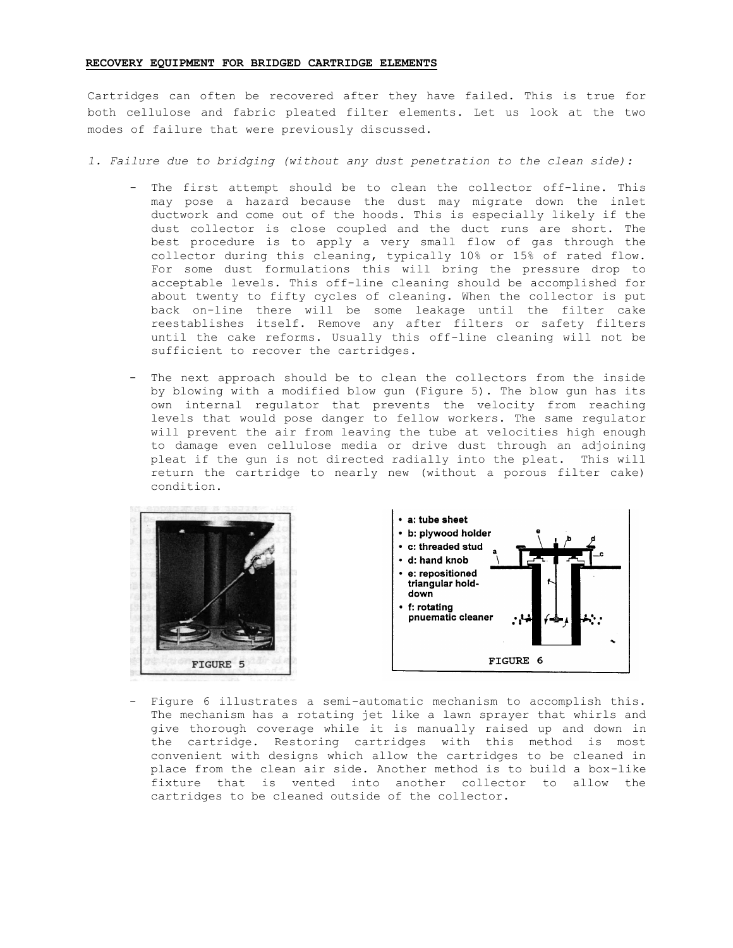#### **RECOVERY EQUIPMENT FOR BRIDGED CARTRIDGE ELEMENTS**

Cartridges can often be recovered after they have failed. This is true for both cellulose and fabric pleated filter elements. Let us look at the two modes of failure that were previously discussed.

*1. Failure due to bridging (without any dust penetration to the clean side):*

- The first attempt should be to clean the collector off-line. This may pose a hazard because the dust may migrate down the inlet ductwork and come out of the hoods. This is especially likely if the dust collector is close coupled and the duct runs are short. The best procedure is to apply a very small flow of gas through the collector during this cleaning, typically 10% or 15% of rated flow. For some dust formulations this will bring the pressure drop to acceptable levels. This off-line cleaning should be accomplished for about twenty to fifty cycles of cleaning. When the collector is put back on-line there will be some leakage until the filter cake reestablishes itself. Remove any after filters or safety filters until the cake reforms. Usually this off-line cleaning will not be sufficient to recover the cartridges.
- The next approach should be to clean the collectors from the inside by blowing with a modified blow gun (Figure 5). The blow gun has its own internal regulator that prevents the velocity from reaching levels that would pose danger to fellow workers. The same regulator will prevent the air from leaving the tube at velocities high enough to damage even cellulose media or drive dust through an adjoining pleat if the gun is not directed radially into the pleat. This will return the cartridge to nearly new (without a porous filter cake) condition.





- Figure 6 illustrates a semi-automatic mechanism to accomplish this. The mechanism has a rotating jet like a lawn sprayer that whirls and give thorough coverage while it is manually raised up and down in the cartridge. Restoring cartridges with this method is most convenient with designs which allow the cartridges to be cleaned in place from the clean air side. Another method is to build a box-like fixture that is vented into another collector to allow the cartridges to be cleaned outside of the collector.